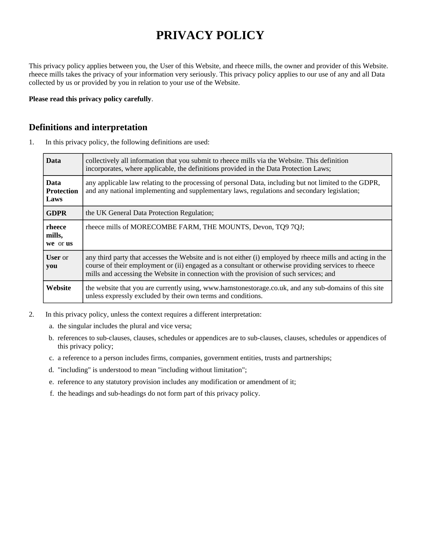# **PRIVACY POLICY**

This privacy policy applies between you, the User of this Website, and rheece mills, the owner and provider of this Website. rheece mills takes the privacy of your information very seriously. This privacy policy applies to our use of any and all Data collected by us or provided by you in relation to your use of the Website.

**Please read this privacy policy carefully**.

#### **Definitions and interpretation**

1. In this privacy policy, the following definitions are used:

| <b>Data</b>                              | collectively all information that you submit to rheece mills via the Website. This definition<br>incorporates, where applicable, the definitions provided in the Data Protection Laws;                                                                                                                       |
|------------------------------------------|--------------------------------------------------------------------------------------------------------------------------------------------------------------------------------------------------------------------------------------------------------------------------------------------------------------|
| <b>Data</b><br><b>Protection</b><br>Laws | any applicable law relating to the processing of personal Data, including but not limited to the GDPR,<br>and any national implementing and supplementary laws, regulations and secondary legislation;                                                                                                       |
| <b>GDPR</b>                              | the UK General Data Protection Regulation;                                                                                                                                                                                                                                                                   |
| rheece<br>mills,<br>we or us             | rheece mills of MORECOMBE FARM, THE MOUNTS, Devon, TQ9 7QJ;                                                                                                                                                                                                                                                  |
| <b>User</b> or<br>you                    | any third party that accesses the Website and is not either (i) employed by rheece mills and acting in the<br>course of their employment or (ii) engaged as a consultant or otherwise providing services to rheece<br>mills and accessing the Website in connection with the provision of such services; and |
| Website                                  | the website that you are currently using, www.hamstonestorage.co.uk, and any sub-domains of this site<br>unless expressly excluded by their own terms and conditions.                                                                                                                                        |

- 2. In this privacy policy, unless the context requires a different interpretation:
	- a. the singular includes the plural and vice versa;
	- b. references to sub-clauses, clauses, schedules or appendices are to sub-clauses, clauses, schedules or appendices of this privacy policy;
	- c. a reference to a person includes firms, companies, government entities, trusts and partnerships;
	- d. "including" is understood to mean "including without limitation";
	- e. reference to any statutory provision includes any modification or amendment of it;
	- f. the headings and sub-headings do not form part of this privacy policy.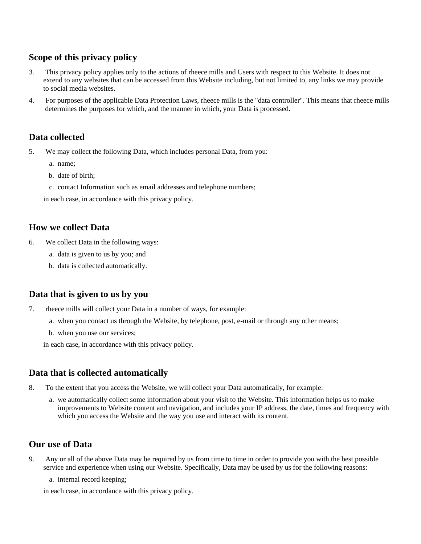## **Scope of this privacy policy**

- 3. This privacy policy applies only to the actions of rheece mills and Users with respect to this Website. It does not extend to any websites that can be accessed from this Website including, but not limited to, any links we may provide to social media websites.
- 4. For purposes of the applicable Data Protection Laws, rheece mills is the "data controller". This means that rheece mills determines the purposes for which, and the manner in which, your Data is processed.

## **Data collected**

- 5. We may collect the following Data, which includes personal Data, from you:
	- a. name;
	- b. date of birth;
	- c. contact Information such as email addresses and telephone numbers;

in each case, in accordance with this privacy policy.

### **How we collect Data**

- 6. We collect Data in the following ways:
	- a. data is given to us by you; and
	- b. data is collected automatically.

### **Data that is given to us by you**

- 7. rheece mills will collect your Data in a number of ways, for example:
	- a. when you contact us through the Website, by telephone, post, e-mail or through any other means;
	- b. when you use our services;

in each case, in accordance with this privacy policy.

# **Data that is collected automatically**

- 8. To the extent that you access the Website, we will collect your Data automatically, for example:
	- a. we automatically collect some information about your visit to the Website. This information helps us to make improvements to Website content and navigation, and includes your IP address, the date, times and frequency with which you access the Website and the way you use and interact with its content.

### **Our use of Data**

- 9. Any or all of the above Data may be required by us from time to time in order to provide you with the best possible service and experience when using our Website. Specifically, Data may be used by us for the following reasons:
	- a. internal record keeping;

in each case, in accordance with this privacy policy.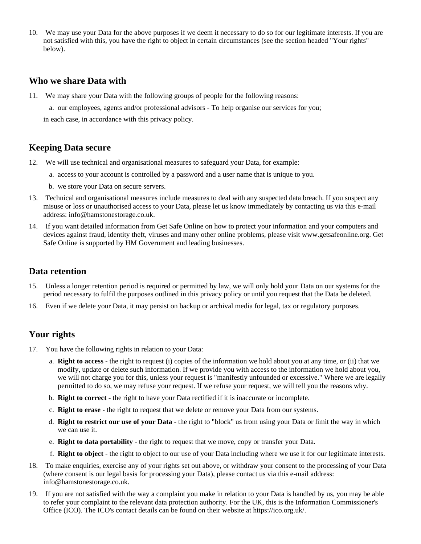10. We may use your Data for the above purposes if we deem it necessary to do so for our legitimate interests. If you are not satisfied with this, you have the right to object in certain circumstances (see the section headed "Your rights" below).

#### **Who we share Data with**

- 11. We may share your Data with the following groups of people for the following reasons:
	- a. our employees, agents and/or professional advisors To help organise our services for you;

in each case, in accordance with this privacy policy.

### **Keeping Data secure**

- 12. We will use technical and organisational measures to safeguard your Data, for example:
	- a. access to your account is controlled by a password and a user name that is unique to you.
	- b. we store your Data on secure servers.
- 13. Technical and organisational measures include measures to deal with any suspected data breach. If you suspect any misuse or loss or unauthorised access to your Data, please let us know immediately by contacting us via this e-mail address: info@hamstonestorage.co.uk.
- 14. If you want detailed information from Get Safe Online on how to protect your information and your computers and devices against fraud, identity theft, viruses and many other online problems, please visit www.getsafeonline.org. Get Safe Online is supported by HM Government and leading businesses.

#### **Data retention**

- 15. Unless a longer retention period is required or permitted by law, we will only hold your Data on our systems for the period necessary to fulfil the purposes outlined in this privacy policy or until you request that the Data be deleted.
- 16. Even if we delete your Data, it may persist on backup or archival media for legal, tax or regulatory purposes.

# **Your rights**

- 17. You have the following rights in relation to your Data:
	- a. **Right to access** the right to request (i) copies of the information we hold about you at any time, or (ii) that we modify, update or delete such information. If we provide you with access to the information we hold about you, we will not charge you for this, unless your request is "manifestly unfounded or excessive." Where we are legally permitted to do so, we may refuse your request. If we refuse your request, we will tell you the reasons why.
	- b. **Right to correct** the right to have your Data rectified if it is inaccurate or incomplete.
	- c. **Right to erase** the right to request that we delete or remove your Data from our systems.
	- d. **Right to restrict our use of your Data** the right to "block" us from using your Data or limit the way in which we can use it.
	- e. **Right to data portability** the right to request that we move, copy or transfer your Data.
	- f. **Right to object** the right to object to our use of your Data including where we use it for our legitimate interests.
- 18. To make enquiries, exercise any of your rights set out above, or withdraw your consent to the processing of your Data (where consent is our legal basis for processing your Data), please contact us via this e-mail address: info@hamstonestorage.co.uk.
- 19. If you are not satisfied with the way a complaint you make in relation to your Data is handled by us, you may be able to refer your complaint to the relevant data protection authority. For the UK, this is the Information Commissioner's Office (ICO). The ICO's contact details can be found on their website at https://ico.org.uk/.